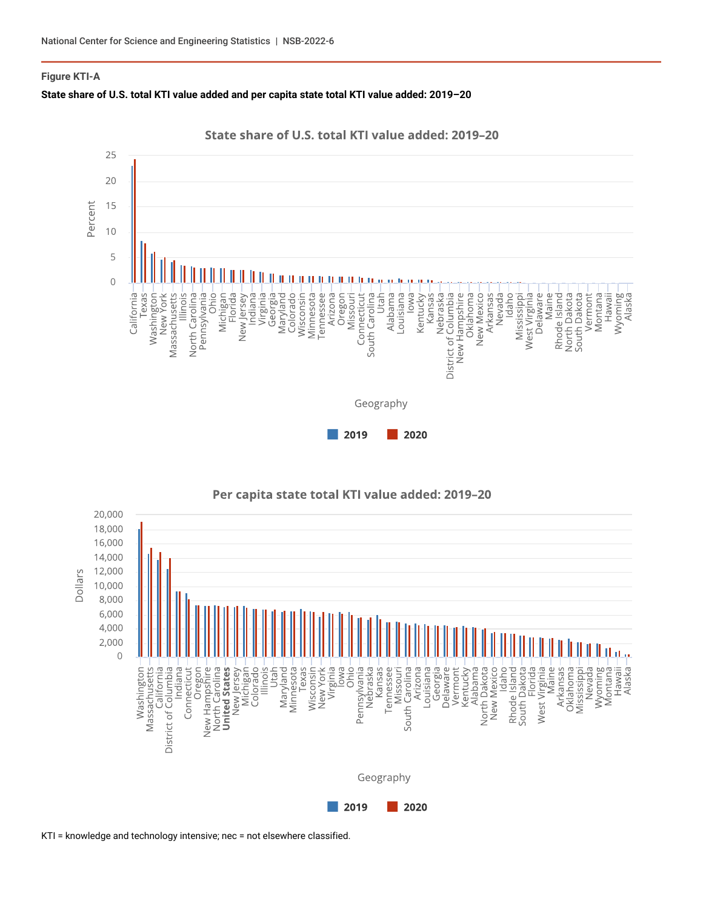## **Figure KTI-A**









Per capita state total KTI value added: 2019-20

KTI = knowledge and technology intensive; nec = not elsewhere classified.